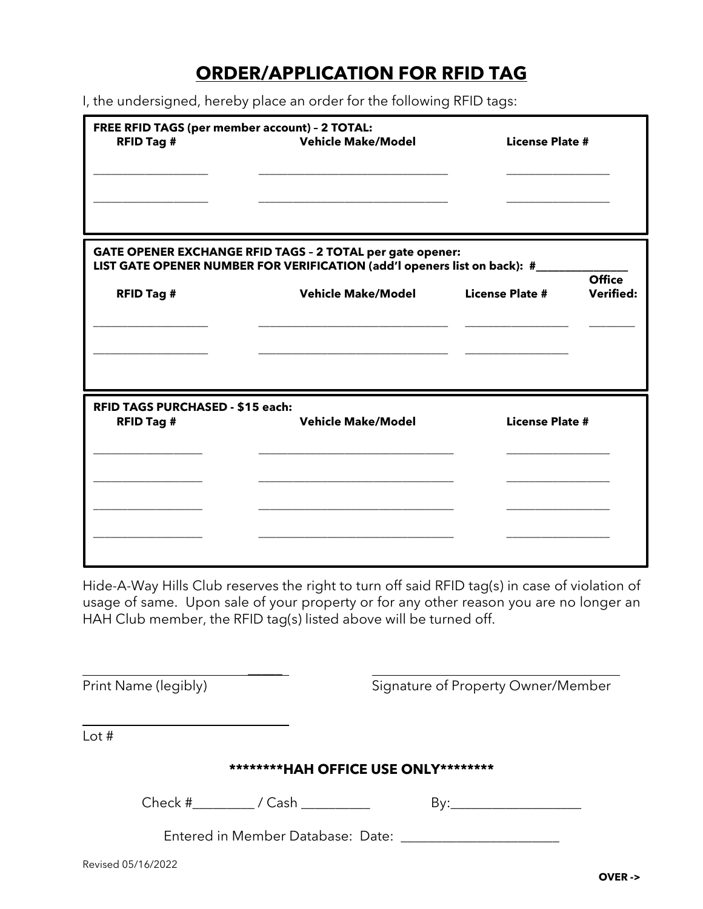## **ORDER/APPLICATION FOR RFID TAG**

I, the undersigned, hereby place an order for the following RFID tags:

| FREE RFID TAGS (per member account) - 2 TOTAL:<br><b>RFID Tag #</b> | <b>Vehicle Make/Model</b>                                                                                                                                            | <b>License Plate #</b>                                      |  |
|---------------------------------------------------------------------|----------------------------------------------------------------------------------------------------------------------------------------------------------------------|-------------------------------------------------------------|--|
| <b>RFID Tag #</b>                                                   | GATE OPENER EXCHANGE RFID TAGS - 2 TOTAL per gate opener:<br>LIST GATE OPENER NUMBER FOR VERIFICATION (add'l openers list on back): #__<br><b>Vehicle Make/Model</b> | <b>Office</b><br><b>License Plate #</b><br><b>Verified:</b> |  |
| RFID TAGS PURCHASED - \$15 each:<br><b>RFID Tag #</b>               | <b>Vehicle Make/Model</b>                                                                                                                                            | <b>License Plate #</b>                                      |  |
|                                                                     |                                                                                                                                                                      |                                                             |  |

Hide-A-Way Hills Club reserves the right to turn off said RFID tag(s) in case of violation of usage of same. Upon sale of your property or for any other reason you are no longer an HAH Club member, the RFID tag(s) listed above will be turned off.

| Print Name (legibly)                  | Signature of Property Owner/Member |  |  |  |  |
|---------------------------------------|------------------------------------|--|--|--|--|
| Lot $#$                               |                                    |  |  |  |  |
| *********HAH OFFICE USE ONLY********* |                                    |  |  |  |  |
| $Check #$ $\_ / Cash$ $\_$            |                                    |  |  |  |  |
|                                       |                                    |  |  |  |  |
|                                       |                                    |  |  |  |  |